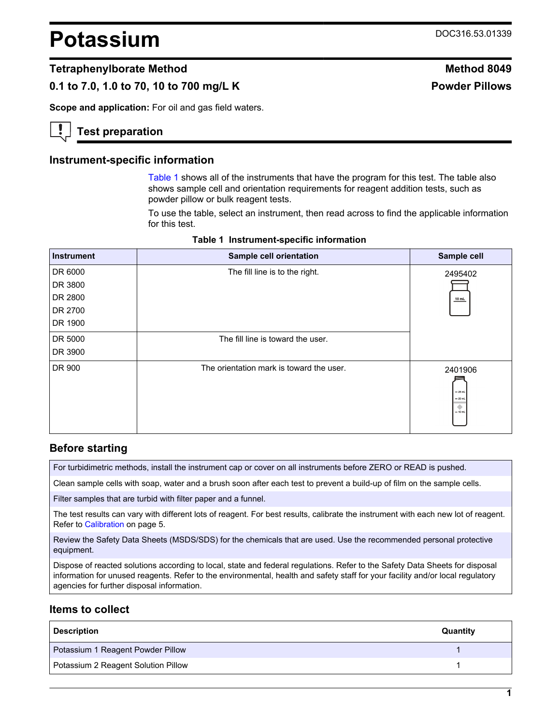# **Potassium** DOC316.53.01339

#### **Tetraphenylborate Method Method 8049**

## **0.1 to 7.0, 1.0 to 70, 10 to 700 mg/L K Powder Pillows**

**Scope and application:** For oil and gas field waters.

## **Test preparation**

#### **Instrument-specific information**

[Table 1](#page-0-0) shows all of the instruments that have the program for this test. The table also shows sample cell and orientation requirements for reagent addition tests, such as powder pillow or bulk reagent tests.

To use the table, select an instrument, then read across to find the applicable information for this test.

<span id="page-0-1"></span><span id="page-0-0"></span>

| <b>Instrument</b> | Sample cell orientation                  | Sample cell                                       |
|-------------------|------------------------------------------|---------------------------------------------------|
| DR 6000           | The fill line is to the right.           | 2495402                                           |
| DR 3800           |                                          |                                                   |
| DR 2800           |                                          | $10$ mL                                           |
| DR 2700           |                                          |                                                   |
| DR 1900           |                                          |                                                   |
| DR 5000           | The fill line is toward the user.        |                                                   |
| DR 3900           |                                          |                                                   |
| DR 900            | The orientation mark is toward the user. | 2401906<br>$-25$ mL<br>$= 20$ mL<br>۰<br>$-10$ mL |

#### **Table 1 Instrument-specific information**

#### **Before starting**

For turbidimetric methods, install the instrument cap or cover on all instruments before ZERO or READ is pushed.

Clean sample cells with soap, water and a brush soon after each test to prevent a build-up of film on the sample cells.

Filter samples that are turbid with filter paper and a funnel.

The test results can vary with different lots of reagent. For best results, calibrate the instrument with each new lot of reagent. Refer to [Calibration](#page-4-0) on page 5.

Review the Safety Data Sheets (MSDS/SDS) for the chemicals that are used. Use the recommended personal protective equipment.

Dispose of reacted solutions according to local, state and federal regulations. Refer to the Safety Data Sheets for disposal information for unused reagents. Refer to the environmental, health and safety staff for your facility and/or local regulatory agencies for further disposal information.

#### **Items to collect**

| <b>Description</b>                  | Quantity |
|-------------------------------------|----------|
| Potassium 1 Reagent Powder Pillow   |          |
| Potassium 2 Reagent Solution Pillow |          |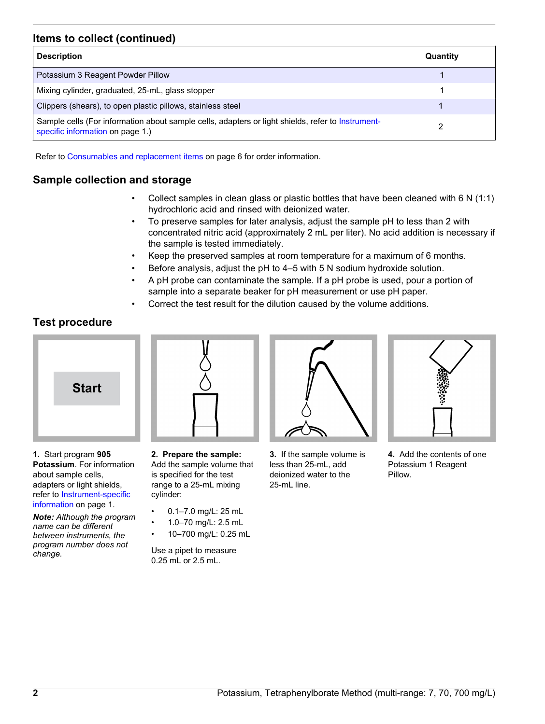# **Items to collect (continued)**

| <b>Description</b>                                                                                                                    | Quantity |
|---------------------------------------------------------------------------------------------------------------------------------------|----------|
| Potassium 3 Reagent Powder Pillow                                                                                                     |          |
| Mixing cylinder, graduated, 25-mL, glass stopper                                                                                      |          |
| Clippers (shears), to open plastic pillows, stainless steel                                                                           |          |
| Sample cells (For information about sample cells, adapters or light shields, refer to Instrument-<br>specific information on page 1.) |          |

Refer to [Consumables and replacement items](#page-5-0) on page 6 for order information.

# **Sample collection and storage**

- Collect samples in clean glass or plastic bottles that have been cleaned with 6 N (1:1) hydrochloric acid and rinsed with deionized water.
- To preserve samples for later analysis, adjust the sample pH to less than 2 with concentrated nitric acid (approximately 2 mL per liter). No acid addition is necessary if the sample is tested immediately.
- Keep the preserved samples at room temperature for a maximum of 6 months.
- Before analysis, adjust the pH to 4–5 with 5 N sodium hydroxide solution.
- A pH probe can contaminate the sample. If a pH probe is used, pour a portion of sample into a separate beaker for pH measurement or use pH paper.
- Correct the test result for the dilution caused by the volume additions.

# **Test procedure**



**1.** Start program **905 Potassium**. For information about sample cells, adapters or light shields, refer to [Instrument-specific](#page-0-1) [information](#page-0-1) on page 1.

*Note: Although the program name can be different between instruments, the program number does not change.*

**2. Prepare the sample:** Add the sample volume that is specified for the test range to a 25-mL mixing cylinder:

- 0.1–7.0 mg/L: 25 mL
- 1.0–70 mg/L: 2.5 mL
- 10–700 mg/L: 0.25 mL

Use a pipet to measure 0.25 mL or 2.5 mL.



**3.** If the sample volume is less than 25-mL, add deionized water to the 25-mL line.



**4.** Add the contents of one Potassium 1 Reagent Pillow.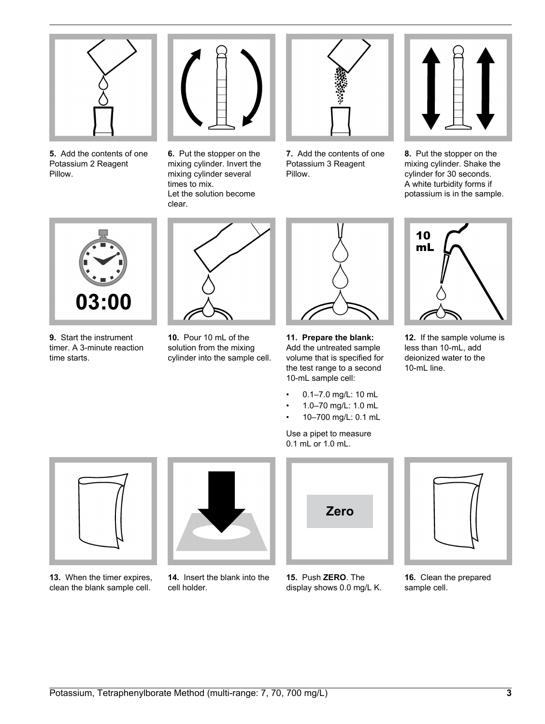

**5.** Add the contents of one Potassium 2 Reagent Pillow.



**6.** Put the stopper on the mixing cylinder. Invert the mixing cylinder several times to mix. Let the solution become clear.



**7.** Add the contents of one Potassium 3 Reagent Pillow.



**8.** Put the stopper on the mixing cylinder. Shake the cylinder for 30 seconds. A white turbidity forms if potassium is in the sample.



**9.** Start the instrument timer. A 3-minute reaction time starts.



**10.** Pour 10 mL of the solution from the mixing cylinder into the sample cell.



**11. Prepare the blank:** Add the untreated sample volume that is specified for the test range to a second 10-mL sample cell:

- 0.1–7.0 mg/L: 10 mL
- 1.0–70 mg/L: 1.0 mL
- 10–700 mg/L: 0.1 mL

Use a pipet to measure 0.1 mL or 1.0 mL.



**12.** If the sample volume is less than 10-mL, add deionized water to the 10-mL line.



**13.** When the timer expires, clean the blank sample cell.



**14.** Insert the blank into the cell holder.

**Zero**

**15.** Push **ZERO**. The display shows 0.0 mg/L K.



**16.** Clean the prepared sample cell.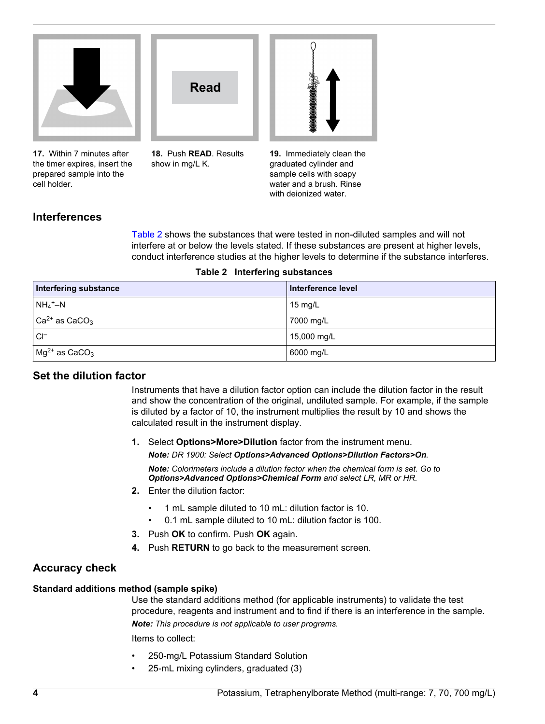<span id="page-3-0"></span>

**17.** Within 7 minutes after the timer expires, insert the prepared sample into the cell holder.

**Read**

**18.** Push **READ**. Results

show in mg/L K.



**19.** Immediately clean the graduated cylinder and sample cells with soapy water and a brush. Rinse with deionized water.

## **Interferences**

[Table 2](#page-3-0) shows the substances that were tested in non-diluted samples and will not interfere at or below the levels stated. If these substances are present at higher levels, conduct interference studies at the higher levels to determine if the substance interferes.

| Interfering substance                     | Interference level |
|-------------------------------------------|--------------------|
| $NH_4^+$ –N                               | 15 mg/L            |
| $ $ Ca <sup>2+</sup> as CaCO <sub>3</sub> | 7000 mg/L          |
| $Cl^-$                                    | 15,000 mg/L        |
| $mg^{2+}$ as CaCO <sub>3</sub>            | 6000 mg/L          |

#### **Table 2 Interfering substances**

#### **Set the dilution factor**

Instruments that have a dilution factor option can include the dilution factor in the result and show the concentration of the original, undiluted sample. For example, if the sample is diluted by a factor of 10, the instrument multiplies the result by 10 and shows the calculated result in the instrument display.

**1.** Select **Options>More>Dilution** factor from the instrument menu. *Note: DR 1900: Select Options>Advanced Options>Dilution Factors>On.*

*Note: Colorimeters include a dilution factor when the chemical form is set. Go to Options>Advanced Options>Chemical Form and select LR, MR or HR.*

- **2.** Enter the dilution factor:
	- 1 mL sample diluted to 10 mL: dilution factor is 10.
	- 0.1 mL sample diluted to 10 mL: dilution factor is 100.
- **3.** Push **OK** to confirm. Push **OK** again.
- **4.** Push **RETURN** to go back to the measurement screen.

## **Accuracy check**

#### **Standard additions method (sample spike)**

Use the standard additions method (for applicable instruments) to validate the test procedure, reagents and instrument and to find if there is an interference in the sample. *Note: This procedure is not applicable to user programs.*

Items to collect:

- 250-mg/L Potassium Standard Solution
- 25-mL mixing cylinders, graduated (3)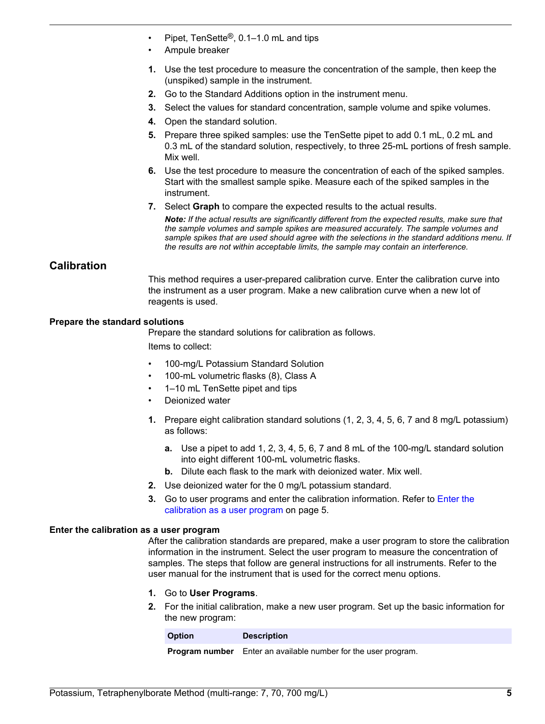- Pipet, TenSette®, 0.1–1.0 mL and tips
- Ampule breaker
- **1.** Use the test procedure to measure the concentration of the sample, then keep the (unspiked) sample in the instrument.
- **2.** Go to the Standard Additions option in the instrument menu.
- **3.** Select the values for standard concentration, sample volume and spike volumes.
- **4.** Open the standard solution.
- **5.** Prepare three spiked samples: use the TenSette pipet to add 0.1 mL, 0.2 mL and 0.3 mL of the standard solution, respectively, to three 25-mL portions of fresh sample. Mix well.
- **6.** Use the test procedure to measure the concentration of each of the spiked samples. Start with the smallest sample spike. Measure each of the spiked samples in the instrument.
- **7.** Select **Graph** to compare the expected results to the actual results.

*Note: If the actual results are significantly different from the expected results, make sure that the sample volumes and sample spikes are measured accurately. The sample volumes and sample spikes that are used should agree with the selections in the standard additions menu. If the results are not within acceptable limits, the sample may contain an interference.*

## <span id="page-4-0"></span>**Calibration**

This method requires a user-prepared calibration curve. Enter the calibration curve into the instrument as a user program. Make a new calibration curve when a new lot of reagents is used.

#### **Prepare the standard solutions**

Prepare the standard solutions for calibration as follows.

Items to collect:

- 100-mg/L Potassium Standard Solution
- 100-mL volumetric flasks (8), Class A
- 1–10 mL TenSette pipet and tips
- Deionized water
- **1.** Prepare eight calibration standard solutions (1, 2, 3, 4, 5, 6, 7 and 8 mg/L potassium) as follows:
	- **a.** Use a pipet to add 1, 2, 3, 4, 5, 6, 7 and 8 mL of the 100-mg/L standard solution into eight different 100-mL volumetric flasks.
	- **b.** Dilute each flask to the mark with deionized water. Mix well.
- **2.** Use deionized water for the 0 mg/L potassium standard.
- **3.** Go to user programs and enter the calibration information. Refer to [Enter the](#page-4-1) [calibration as a user program](#page-4-1) on page 5.

#### <span id="page-4-1"></span>**Enter the calibration as a user program**

After the calibration standards are prepared, make a user program to store the calibration information in the instrument. Select the user program to measure the concentration of samples. The steps that follow are general instructions for all instruments. Refer to the user manual for the instrument that is used for the correct menu options.

- **1.** Go to **User Programs**.
- **2.** For the initial calibration, make a new user program. Set up the basic information for the new program:

| <b>Option</b> | <b>Description</b>                                                    |
|---------------|-----------------------------------------------------------------------|
|               | <b>Program number</b> Enter an available number for the user program. |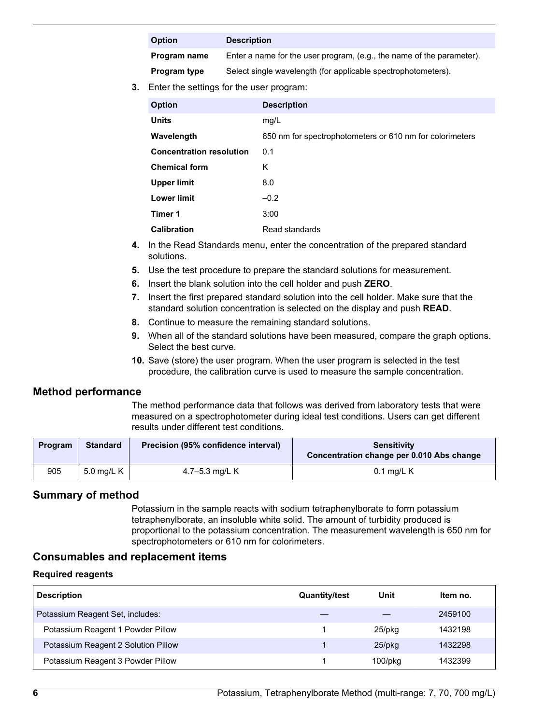#### **Option Description**

**Program name** Enter a name for the user program, (e.g., the name of the parameter).

**Program type** Select single wavelength (for applicable spectrophotometers).

**3.** Enter the settings for the user program:

| <b>Option</b>                   | <b>Description</b>                                       |
|---------------------------------|----------------------------------------------------------|
| <b>Units</b>                    | mg/L                                                     |
| Wavelength                      | 650 nm for spectrophotometers or 610 nm for colorimeters |
| <b>Concentration resolution</b> | 0.1                                                      |
| <b>Chemical form</b>            | Κ                                                        |
| Upper limit                     | 8.0                                                      |
| <b>Lower limit</b>              | $-0.2$                                                   |
| Timer 1                         | 3:00                                                     |
| <b>Calibration</b>              | Read standards                                           |

- **4.** In the Read Standards menu, enter the concentration of the prepared standard solutions.
- **5.** Use the test procedure to prepare the standard solutions for measurement.
- **6.** Insert the blank solution into the cell holder and push **ZERO**.
- **7.** Insert the first prepared standard solution into the cell holder. Make sure that the standard solution concentration is selected on the display and push **READ**.
- **8.** Continue to measure the remaining standard solutions.
- **9.** When all of the standard solutions have been measured, compare the graph options. Select the best curve.
- **10.** Save (store) the user program. When the user program is selected in the test procedure, the calibration curve is used to measure the sample concentration.

## **Method performance**

The method performance data that follows was derived from laboratory tests that were measured on a spectrophotometer during ideal test conditions. Users can get different results under different test conditions.

| Program | <b>Standard</b> | Precision (95% confidence interval) | <b>Sensitivity</b><br>Concentration change per 0.010 Abs change |
|---------|-----------------|-------------------------------------|-----------------------------------------------------------------|
| 905     | 5.0 mg/L K      | 4.7–5.3 mg/L K                      | $0.1$ mg/L K                                                    |

## **Summary of method**

Potassium in the sample reacts with sodium tetraphenylborate to form potassium tetraphenylborate, an insoluble white solid. The amount of turbidity produced is proportional to the potassium concentration. The measurement wavelength is 650 nm for spectrophotometers or 610 nm for colorimeters.

## **Consumables and replacement items**

#### **Required reagents**

<span id="page-5-0"></span>

| <b>Description</b>                  | <b>Quantity/test</b> | Unit          | Item no. |
|-------------------------------------|----------------------|---------------|----------|
| Potassium Reagent Set, includes:    |                      |               | 2459100  |
| Potassium Reagent 1 Powder Pillow   |                      | $25$ /pkq     | 1432198  |
| Potassium Reagent 2 Solution Pillow |                      | $25$ /pkq     | 1432298  |
| Potassium Reagent 3 Powder Pillow   |                      | $100$ /p $ka$ | 1432399  |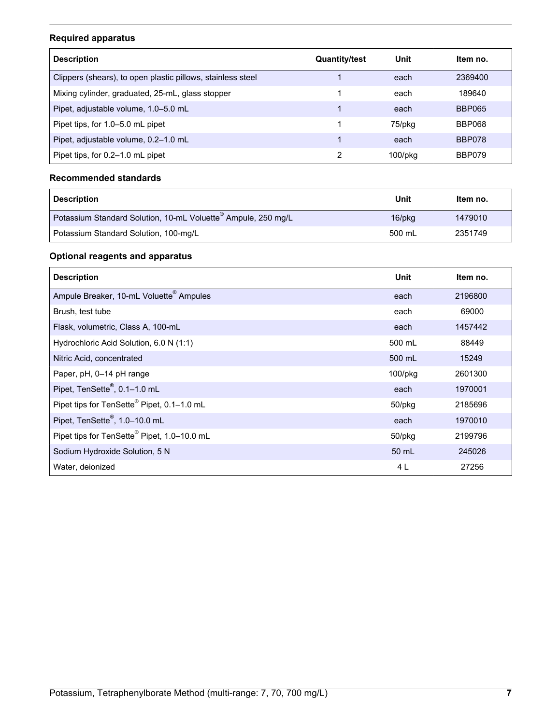# **Required apparatus**

| <b>Description</b>                                          | <b>Quantity/test</b> | Unit          | Item no.      |
|-------------------------------------------------------------|----------------------|---------------|---------------|
| Clippers (shears), to open plastic pillows, stainless steel |                      | each          | 2369400       |
| Mixing cylinder, graduated, 25-mL, glass stopper            |                      | each          | 189640        |
| Pipet, adjustable volume, 1.0–5.0 mL                        |                      | each          | <b>BBP065</b> |
| Pipet tips, for 1.0–5.0 mL pipet                            |                      | 75/pkg        | BBP068        |
| Pipet, adjustable volume, 0.2-1.0 mL                        |                      | each          | BBP078        |
| Pipet tips, for 0.2–1.0 mL pipet                            | 2                    | $100$ /p $ka$ | BBP079        |

#### **Recommended standards**

| <b>Description</b>                                                        | Unit      | Item no. |
|---------------------------------------------------------------------------|-----------|----------|
| Potassium Standard Solution, 10-mL Voluette <sup>®</sup> Ampule, 250 mg/L | $16$ /pkg | 1479010  |
| Potassium Standard Solution, 100-mg/L                                     | 500 mL    | 2351749  |

## **Optional reagents and apparatus**

| <b>Description</b>                                  | Unit          | Item no. |
|-----------------------------------------------------|---------------|----------|
| Ampule Breaker, 10-mL Voluette <sup>®</sup> Ampules | each          | 2196800  |
| Brush, test tube                                    | each          | 69000    |
| Flask, volumetric, Class A, 100-mL                  | each          | 1457442  |
| Hydrochloric Acid Solution, 6.0 N (1:1)             | 500 mL        | 88449    |
| Nitric Acid, concentrated                           | 500 mL        | 15249    |
| Paper, pH, 0-14 pH range                            | $100$ /p $kg$ | 2601300  |
| Pipet, TenSette®, 0.1-1.0 mL                        | each          | 1970001  |
| Pipet tips for TenSette® Pipet, 0.1-1.0 mL          | $50$ /pkg     | 2185696  |
| Pipet, TenSette®, 1.0-10.0 mL                       | each          | 1970010  |
| Pipet tips for TenSette® Pipet, 1.0-10.0 mL         | $50$ /p $kg$  | 2199796  |
| Sodium Hydroxide Solution, 5 N                      | 50 mL         | 245026   |
| Water, deionized                                    | 4 L           | 27256    |